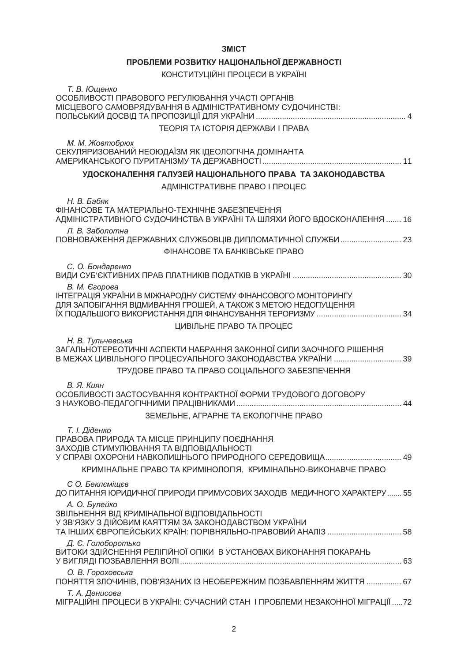| ПРОБЛЕМИ РОЗВИТКУ НАЦІОНАЛЬНОЇ ДЕРЖАВНОСТІ                                                                                                                                     |
|--------------------------------------------------------------------------------------------------------------------------------------------------------------------------------|
| КОНСТИТУЦІЙНІ ПРОЦЕСИ В УКРАЇНІ                                                                                                                                                |
| Т. В. Ющенко<br>ОСОБЛИВОСТІ ПРАВОВОГО РЕГУЛЮВАННЯ УЧАСТІ ОРГАНІВ<br>МІСЦЕВОГО САМОВРЯДУВАННЯ В АДМІНІСТРАТИВНОМУ СУДОЧИНСТВІ:                                                  |
| <b>ТЕОРІЯ ТА ІСТОРІЯ ДЕРЖАВИ І ПРАВА</b>                                                                                                                                       |
| М. М. Жовтобрюх<br>СЕКУЛЯРИЗОВАНИЙ НЕОЮДАЇЗМ ЯК ІДЕОЛОГІЧНА ДОМІНАНТА                                                                                                          |
| УДОСКОНАЛЕННЯ ГАЛУЗЕЙ НАЦІОНАЛЬНОГО ПРАВА ТА ЗАКОНОДАВСТВА                                                                                                                     |
| АДМІНІСТРАТИВНЕ ПРАВО І ПРОЦЕС                                                                                                                                                 |
| Н. В. Бабяк<br>ФІНАНСОВЕ ТА МАТЕРІАЛЬНО-ТЕХНІЧНЕ ЗАБЕЗПЕЧЕННЯ<br>АДМІНІСТРАТИВНОГО СУДОЧИНСТВА В УКРАЇНІ ТА ШЛЯХИ ЙОГО ВДОСКОНАЛЕННЯ  16                                       |
| Л. В. Заболотна<br>ПОВНОВАЖЕННЯ ДЕРЖАВНИХ СЛУЖБОВЦІВ ДИПЛОМАТИЧНОЇ СЛУЖБИ  23                                                                                                  |
| <b><i>¢IHAHCOBE TA БАНКІВСЬКЕ ПРАВО</i></b>                                                                                                                                    |
| С. О. Бондаренко                                                                                                                                                               |
| В. М. Єгорова<br>ІНТЕГРАЦІЯ УКРАЇНИ В МІЖНАРОДНУ СИСТЕМУ ФІНАНСОВОГО МОНІТОРИНГУ<br>ДЛЯ ЗАПОБІГАННЯ ВІДМИВАННЯ ГРОШЕЙ, А ТАКОЖ З МЕТОЮ НЕДОПУЩЕННЯ<br>ЦИВІЛЬНЕ ПРАВО ТА ПРОЦЕС |
| Н. В. Тульчевська<br>ЗАГАЛЬНОТЕРЕОТИЧНІ АСПЕКТИ НАБРАННЯ ЗАКОННОЇ СИЛИ ЗАОЧНОГО РІШЕННЯ<br>В МЕЖАХ ЦИВІЛЬНОГО ПРОЦЕСУАЛЬНОГО ЗАКОНОДАВСТВА УКРАЇНИ  39                         |
| ТРУДОВЕ ПРАВО ТА ПРАВО СОЦІАЛЬНОГО ЗАБЕЗПЕЧЕННЯ                                                                                                                                |
| В. Я. Киян<br>ОСОБЛИВОСТІ ЗАСТОСУВАННЯ КОНТРАКТНОЇ ФОРМИ ТРУДОВОГО ДОГОВОРУ                                                                                                    |
| ЗЕМЕЛЬНЕ, АГРАРНЕ ТА ЕКОЛОГІЧНЕ ПРАВО                                                                                                                                          |
| Т. І. Діденко<br>ПРАВОВА ПРИРОДА ТА МІСЦЕ ПРИНЦИПУ ПОЄДНАННЯ<br>ЗАХОДІВ СТИМУЛЮВАННЯ ТА ВІДПОВІДАЛЬНОСТІ<br>У СПРАВІ ОХОРОНИ НАВКОЛИШНЬОГО ПРИРОДНОГО СЕРЕДОВИЩА 49            |
| КРИМІНАЛЬНЕ ПРАВО ТА КРИМІНОЛОГІЯ, КРИМІНАЛЬНО-ВИКОНАВЧЕ ПРАВО                                                                                                                 |
| С О. Беклеміщев<br>ДО ПИТАННЯ ЮРИДИЧНОЇ ПРИРОДИ ПРИМУСОВИХ ЗАХОДІВ МЕДИЧНОГО ХАРАКТЕРУ  55                                                                                     |
| А. О. Булейко<br>ЗВІЛЬНЕННЯ ВІД КРИМІНАЛЬНОЇ ВІДПОВІДАЛЬНОСТІ<br>У ЗВ'ЯЗКУ З ДІЙОВИМ КАЯТТЯМ ЗА ЗАКОНОДАВСТВОМ УКРАЇНИ                                                         |
| Д. Є. Голоборотько<br>ВИТОКИ ЗДІЙСНЕННЯ РЕЛІГІЙНОЇ ОПІКИ В УСТАНОВАХ ВИКОНАННЯ ПОКАРАНЬ                                                                                        |
| О. В. Гороховська<br>ПОНЯТТЯ ЗЛОЧИНІВ, ПОВ'ЯЗАНИХ ІЗ НЕОБЕРЕЖНИМ ПОЗБАВЛЕННЯМ ЖИТТЯ  67                                                                                        |
| Т. А. Денисова<br>МІГРАЦІЙНІ ПРОЦЕСИ В УКРАЇНІ: СУЧАСНИЙ СТАН І ПРОБЛЕМИ НЕЗАКОННОЇ МІГРАЦІЇ  72                                                                               |

2

## 3MICT